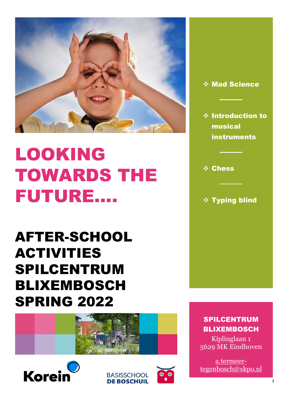

# LOOKING TOWARDS THE FUTURE….

AFTER-SCHOOL ACTIVITIES SPILCENTRUM BLIXEMBOSCH SPRING 2022









❖ Mad Science

❖ Introduction to musical **instruments** 

❖ Chess

❖ Typing blind

SPILCENTRUM BLIXEMBOSCH

Kiplinglaan 1 5629 MK Eindhoven

a.termeertegenbosch@skpo.nl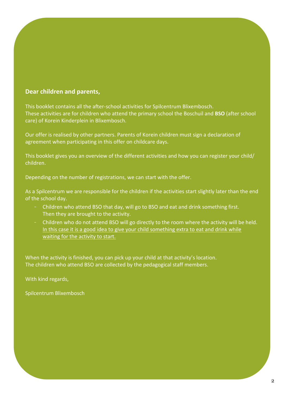# **Dear children and parents,**

This booklet contains all the after-school activities for Spilcentrum Blixembosch. These activities are for children who attend the primary school the Boschuil and **BSO** (after school care) of Korein Kinderplein in Blixembosch.

Our offer is realised by other partners. Parents of Korein children must sign a declaration of agreement when participating in this offer on childcare days.

This booklet gives you an overview of the different activities and how you can register your child/ children.

Depending on the number of registrations, we can start with the offer.

As a Spilcentrum we are responsible for the children if the activities start slightly later than the end of the school day.

- Children who attend BSO that day, will go to BSO and eat and drink something first. Then they are brought to the activity.
- Children who do not attend BSO will go directly to the room where the activity will be held. In this case it is a good idea to give your child something extra to eat and drink while waiting for the activity to start.

When the activity is finished, you can pick up your child at that activity's location. The children who attend BSO are collected by the pedagogical staff members.

With kind regards,

Spilcentrum Blixembosch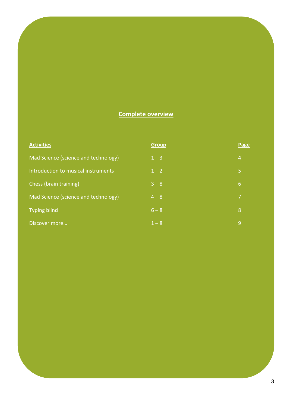# **Complete overview**

| <b>Activities</b>                    | <b>Group</b> | Page           |
|--------------------------------------|--------------|----------------|
| Mad Science (science and technology) | $1 - 3$      | $\overline{4}$ |
| Introduction to musical instruments  | $1 - 2$      | ا5             |
| Chess (brain training)               | $3 - 8$      | 6              |
| Mad Science (science and technology) | $4 - 8$      | 7              |
| <b>Typing blind</b>                  | $6 - 8$      | 8              |
| Discover more                        | $1 - 8$      | 9              |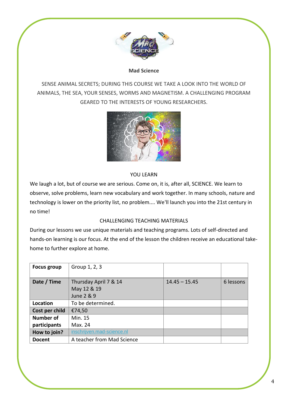

#### **Mad Science**

SENSE ANIMAL SECRETS; DURING THIS COURSE WE TAKE A LOOK INTO THE WORLD OF ANIMALS, THE SEA, YOUR SENSES, WORMS AND MAGNETISM. A CHALLENGING PROGRAM GEARED TO THE INTERESTS OF YOUNG RESEARCHERS.



# YOU LEARN

We laugh a lot, but of course we are serious. Come on, it is, after all, SCIENCE. We learn to observe, solve problems, learn new vocabulary and work together. In many schools, nature and technology is lower on the priority list, no problem.... We'll launch you into the 21st century in no time!

#### CHALLENGING TEACHING MATERIALS

During our lessons we use unique materials and teaching programs. Lots of self-directed and hands-on learning is our focus. At the end of the lesson the children receive an educational takehome to further explore at home.

| <b>Focus group</b> | Group 1, 2, 3              |                 |           |
|--------------------|----------------------------|-----------------|-----------|
|                    |                            |                 |           |
| Date / Time        | Thursday April 7 & 14      | $14.45 - 15.45$ | 6 lessons |
|                    | May 12 & 19                |                 |           |
|                    | June 2 & 9                 |                 |           |
| Location           | To be determined.          |                 |           |
| Cost per child     | €74,50                     |                 |           |
| <b>Number of</b>   | Min. 15                    |                 |           |
| participants       | Max. 24                    |                 |           |
| How to join?       | inschrijven.mad-science.nl |                 |           |
| <b>Docent</b>      | A teacher from Mad Science |                 |           |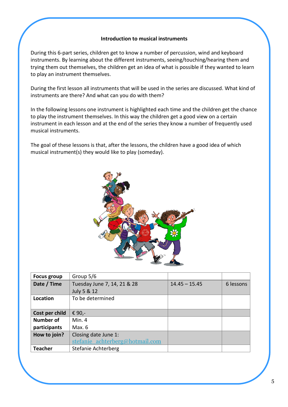#### **Introduction to musical instruments**

During this 6-part series, children get to know a number of percussion, wind and keyboard instruments. By learning about the different instruments, seeing/touching/hearing them and trying them out themselves, the children get an idea of what is possible if they wanted to learn to play an instrument themselves.

During the first lesson all instruments that will be used in the series are discussed. What kind of instruments are there? And what can you do with them?

In the following lessons one instrument is highlighted each time and the children get the chance to play the instrument themselves. In this way the children get a good view on a certain instrument in each lesson and at the end of the series they know a number of frequently used musical instruments.

The goal of these lessons is that, after the lessons, the children have a good idea of which musical instrument(s) they would like to play (someday).



| <b>Focus group</b> | Group 5/6                                  |                 |           |
|--------------------|--------------------------------------------|-----------------|-----------|
| Date / Time        | Tuesday June 7, 14, 21 & 28<br>July 5 & 12 | $14.45 - 15.45$ | 6 lessons |
| Location           | To be determined                           |                 |           |
| Cost per child     | € 90,-                                     |                 |           |
| Number of          | Min.4                                      |                 |           |
| participants       | Max. 6                                     |                 |           |
| How to join?       | Closing date June 1:                       |                 |           |
|                    | stefanie achterberg@hotmail.com            |                 |           |
| <b>Teacher</b>     | Stefanie Achterberg                        |                 |           |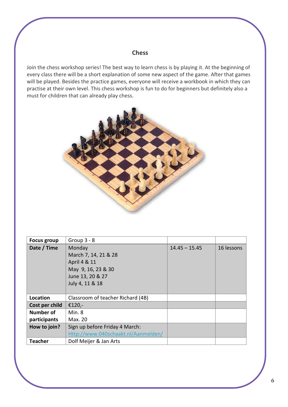# **Chess**

Join the chess workshop series! The best way to learn chess is by playing it. At the beginning of every class there will be a short explanation of some new aspect of the game. After that games will be played. Besides the practice games, everyone will receive a workbook in which they can practise at their own level. This chess workshop is fun to do for beginners but definitely also a must for children that can already play chess.



| <b>Focus group</b> | Group $3 - 8$                       |                 |            |
|--------------------|-------------------------------------|-----------------|------------|
| Date / Time        | Monday                              | $14.45 - 15.45$ | 16 lessons |
|                    | March 7, 14, 21 & 28                |                 |            |
|                    | April 4 & 11                        |                 |            |
|                    | May 9, 16, 23 & 30                  |                 |            |
|                    | June 13, 20 & 27                    |                 |            |
|                    | July 4, 11 & 18                     |                 |            |
|                    |                                     |                 |            |
| Location           | Classroom of teacher Richard (4B)   |                 |            |
| Cost per child     | €120,-                              |                 |            |
| <b>Number of</b>   | Min.8                               |                 |            |
| participants       | Max. 20                             |                 |            |
| How to join?       | Sign up before Friday 4 March:      |                 |            |
|                    | Http://www.040schaakt.nl/Aanmelden/ |                 |            |
| <b>Teacher</b>     | Dolf Meijer & Jan Arts              |                 |            |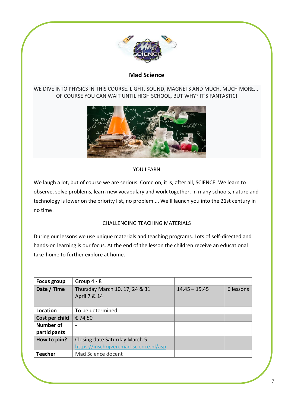

# **Mad Science**

# WE DIVE INTO PHYSICS IN THIS COURSE. LIGHT, SOUND, MAGNETS AND MUCH, MUCH MORE.... OF COURSE YOU CAN WAIT UNTIL HIGH SCHOOL, BUT WHY? IT'S FANTASTIC!



# YOU LEARN

We laugh a lot, but of course we are serious. Come on, it is, after all, SCIENCE. We learn to observe, solve problems, learn new vocabulary and work together. In many schools, nature and technology is lower on the priority list, no problem.... We'll launch you into the 21st century in no time!

# CHALLENGING TEACHING MATERIALS

During our lessons we use unique materials and teaching programs. Lots of self-directed and hands-on learning is our focus. At the end of the lesson the children receive an educational take-home to further explore at home.

| Focus group      | Group $4 - 8$                                  |                 |           |
|------------------|------------------------------------------------|-----------------|-----------|
| Date / Time      | Thursday March 10, 17, 24 & 31<br>April 7 & 14 | $14.45 - 15.45$ | 6 lessons |
| Location         | To be determined                               |                 |           |
| Cost per child   | € 74,50                                        |                 |           |
| <b>Number of</b> |                                                |                 |           |
| participants     |                                                |                 |           |
| How to join?     | Closing date Saturday March 5:                 |                 |           |
|                  | https://inschrijven.mad-science.nl/asp         |                 |           |
| <b>Teacher</b>   | Mad Science docent                             |                 |           |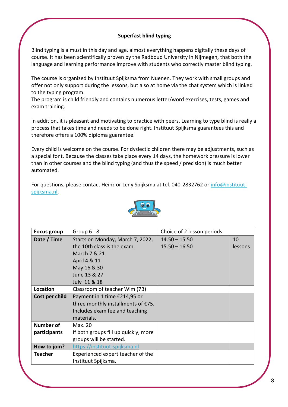# **Superfast blind typing**

Blind typing is a must in this day and age, almost everything happens digitally these days of course. It has been scientifically proven by the Radboud University in Nijmegen, that both the language and learning performance improve with students who correctly master blind typing.

The course is organized by Instituut Spijksma from Nuenen. They work with small groups and offer not only support during the lessons, but also at home via the chat system which is linked to the typing program.

The program is child friendly and contains numerous letter/word exercises, tests, games and exam training.

In addition, it is pleasant and motivating to practice with peers. Learning to type blind is really a process that takes time and needs to be done right. Instituut Spijksma guarantees this and therefore offers a 100% diploma guarantee.

Every child is welcome on the course. For dyslectic children there may be adjustments, such as a special font. Because the classes take place every 14 days, the homework pressure is lower than in other courses and the blind typing (and thus the speed / precision) is much better automated.

For questions, please contact Heinz or Leny Spijksma at tel. 040-2832762 or [info@instituut](mailto:info@instituut-spijksma.nl)[spijksma.nl.](mailto:info@instituut-spijksma.nl)



| <b>Focus group</b> | Group $6 - 8$                        | Choice of 2 lesson periods |         |
|--------------------|--------------------------------------|----------------------------|---------|
| Date / Time        | Starts on Monday, March 7, 2022,     | $14.50 - 15.50$            | 10      |
|                    | the 10th class is the exam.          | $15.50 - 16.50$            | lessons |
|                    | March 7 & 21                         |                            |         |
|                    | April 4 & 11                         |                            |         |
|                    | May 16 & 30                          |                            |         |
|                    | June 13 & 27                         |                            |         |
|                    | July 11 & 18                         |                            |         |
| Location           | Classroom of teacher Wim (7B)        |                            |         |
| Cost per child     | Payment in 1 time €214,95 or         |                            |         |
|                    | three monthly installments of €75.   |                            |         |
|                    | Includes exam fee and teaching       |                            |         |
|                    | materials.                           |                            |         |
| <b>Number of</b>   | Max. 20                              |                            |         |
| participants       | If both groups fill up quickly, more |                            |         |
|                    | groups will be started.              |                            |         |
| How to join?       | https://instituut-spijksma.nl        |                            |         |
| <b>Teacher</b>     | Experienced expert teacher of the    |                            |         |
|                    | Instituut Spijksma.                  |                            |         |